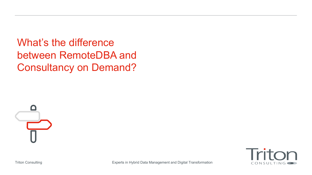What's the difference between RemoteDBA and Consultancy on Demand?





Triton Consulting Experts in Hybrid Data Management and Digital Transformation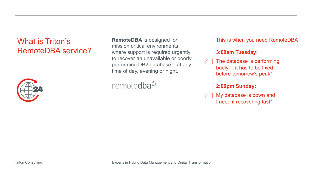## What is Triton's RemoteDBA service?



**RemoteDBA** is designed for mission critical environments, where support is required urgently to recover an unavailable or poorly performing DB2 database – at any time of day, evening or night.

remotedba<sup>≎</sup>

This is when you need RemoteDBA

#### **3:00am Tuesday:**

 $\triangle$  The database is performing badly… it has to be fixed before tomorrow's peak"

### **2:00pm Sunday:**

My database is down and  $\triangle$ I need it recovering fast"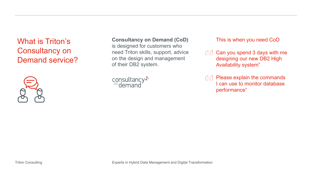## What is Triton's Consultancy on Demand service?



#### **Consultancy on Demand (CoD)**

is designed for customers who need Triton skills, support, advice on the design and management of their DB2 system.



This is when you need CoD

- $\Box$  Can you spend 3 days with me designing our new DB2 High Availability system"
- $\Box$  Please explain the commands I can use to monitor database performance"